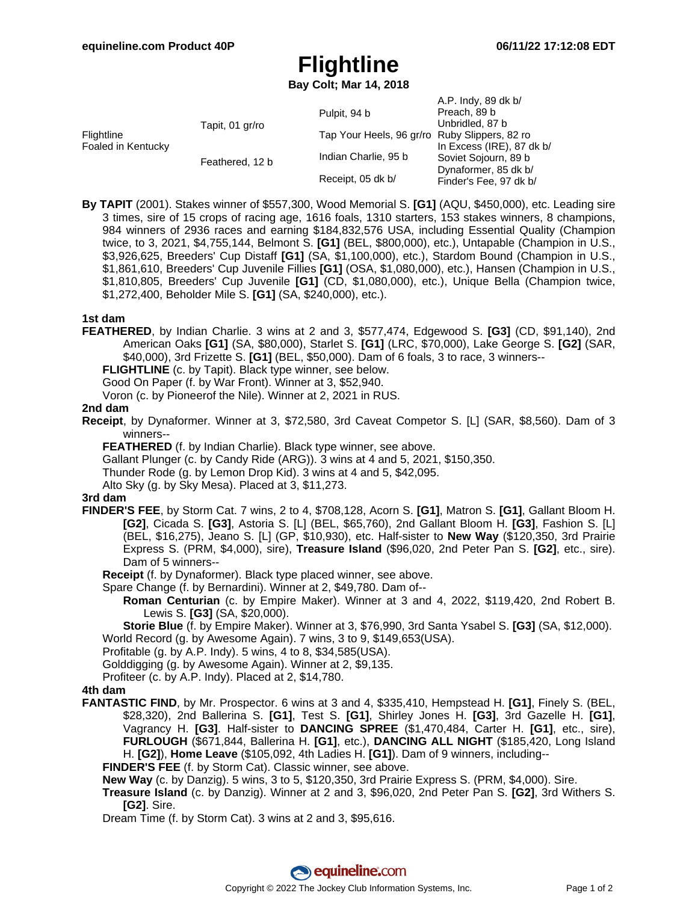# **Flightline**

**Bay Colt; Mar 14, 2018**

|                                  |                 | Pulpit, 94 b                                  | A.P. Indy, 89 dk b/<br>Preach, 89 b                                                                                      |
|----------------------------------|-----------------|-----------------------------------------------|--------------------------------------------------------------------------------------------------------------------------|
| Flightline<br>Foaled in Kentucky | Tapit, 01 gr/ro | Tap Your Heels, 96 gr/ro Ruby Slippers, 82 ro | Unbridled, 87 b<br>In Excess (IRE), 87 dk $b/$<br>Soviet Sojourn, 89 b<br>Dynaformer, 85 dk b/<br>Finder's Fee, 97 dk b/ |
|                                  | Feathered, 12 b | Indian Charlie, 95 b                          |                                                                                                                          |
|                                  |                 | Receipt, 05 dk b/                             |                                                                                                                          |

**By TAPIT** (2001). Stakes winner of \$557,300, Wood Memorial S. **[G1]** (AQU, \$450,000), etc. Leading sire 3 times, sire of 15 crops of racing age, 1616 foals, 1310 starters, 153 stakes winners, 8 champions, 984 winners of 2936 races and earning \$184,832,576 USA, including Essential Quality (Champion twice, to 3, 2021, \$4,755,144, Belmont S. **[G1]** (BEL, \$800,000), etc.), Untapable (Champion in U.S., \$3,926,625, Breeders' Cup Distaff **[G1]** (SA, \$1,100,000), etc.), Stardom Bound (Champion in U.S., \$1,861,610, Breeders' Cup Juvenile Fillies **[G1]** (OSA, \$1,080,000), etc.), Hansen (Champion in U.S., \$1,810,805, Breeders' Cup Juvenile **[G1]** (CD, \$1,080,000), etc.), Unique Bella (Champion twice, \$1,272,400, Beholder Mile S. **[G1]** (SA, \$240,000), etc.).

#### **1st dam**

**FEATHERED**, by Indian Charlie. 3 wins at 2 and 3, \$577,474, Edgewood S. **[G3]** (CD, \$91,140), 2nd American Oaks **[G1]** (SA, \$80,000), Starlet S. **[G1]** (LRC, \$70,000), Lake George S. **[G2]** (SAR, \$40,000), 3rd Frizette S. **[G1]** (BEL, \$50,000). Dam of 6 foals, 3 to race, 3 winners--

**FLIGHTLINE** (c. by Tapit). Black type winner, see below.

Good On Paper (f. by War Front). Winner at 3, \$52,940.

Voron (c. by Pioneerof the Nile). Winner at 2, 2021 in RUS.

#### **2nd dam**

**Receipt**, by Dynaformer. Winner at 3, \$72,580, 3rd Caveat Competor S. [L] (SAR, \$8,560). Dam of 3 winners--

**FEATHERED** (f. by Indian Charlie). Black type winner, see above.

Gallant Plunger (c. by Candy Ride (ARG)). 3 wins at 4 and 5, 2021, \$150,350.

Thunder Rode (g. by Lemon Drop Kid). 3 wins at 4 and 5, \$42,095.

Alto Sky (g. by Sky Mesa). Placed at 3, \$11,273.

## **3rd dam**

- **FINDER'S FEE**, by Storm Cat. 7 wins, 2 to 4, \$708,128, Acorn S. **[G1]**, Matron S. **[G1]**, Gallant Bloom H. **[G2]**, Cicada S. **[G3]**, Astoria S. [L] (BEL, \$65,760), 2nd Gallant Bloom H. **[G3]**, Fashion S. [L] (BEL, \$16,275), Jeano S. [L] (GP, \$10,930), etc. Half-sister to **New Way** (\$120,350, 3rd Prairie Express S. (PRM, \$4,000), sire), **Treasure Island** (\$96,020, 2nd Peter Pan S. **[G2]**, etc., sire). Dam of 5 winners--
	- **Receipt** (f. by Dynaformer). Black type placed winner, see above.
	- Spare Change (f. by Bernardini). Winner at 2, \$49,780. Dam of--
		- **Roman Centurian** (c. by Empire Maker). Winner at 3 and 4, 2022, \$119,420, 2nd Robert B. Lewis S. **[G3]** (SA, \$20,000).

**Storie Blue** (f. by Empire Maker). Winner at 3, \$76,990, 3rd Santa Ysabel S. **[G3]** (SA, \$12,000). World Record (g. by Awesome Again). 7 wins, 3 to 9, \$149,653(USA).

Profitable (g. by A.P. Indy). 5 wins, 4 to 8, \$34,585(USA).

Golddigging (g. by Awesome Again). Winner at 2, \$9,135.

Profiteer (c. by A.P. Indy). Placed at 2, \$14,780.

## **4th dam**

**FANTASTIC FIND**, by Mr. Prospector. 6 wins at 3 and 4, \$335,410, Hempstead H. **[G1]**, Finely S. (BEL, \$28,320), 2nd Ballerina S. **[G1]**, Test S. **[G1]**, Shirley Jones H. **[G3]**, 3rd Gazelle H. **[G1]**, Vagrancy H. **[G3]**. Half-sister to **DANCING SPREE** (\$1,470,484, Carter H. **[G1]**, etc., sire), **FURLOUGH** (\$671,844, Ballerina H. **[G1]**, etc.), **DANCING ALL NIGHT** (\$185,420, Long Island H. **[G2]**), **Home Leave** (\$105,092, 4th Ladies H. **[G1]**). Dam of 9 winners, including--

**FINDER'S FEE** (f. by Storm Cat). Classic winner, see above.

**New Way** (c. by Danzig). 5 wins, 3 to 5, \$120,350, 3rd Prairie Express S. (PRM, \$4,000). Sire.

**Treasure Island** (c. by Danzig). Winner at 2 and 3, \$96,020, 2nd Peter Pan S. **[G2]**, 3rd Withers S. **[G2]**. Sire.

Dream Time (f. by Storm Cat). 3 wins at 2 and 3, \$95,616.